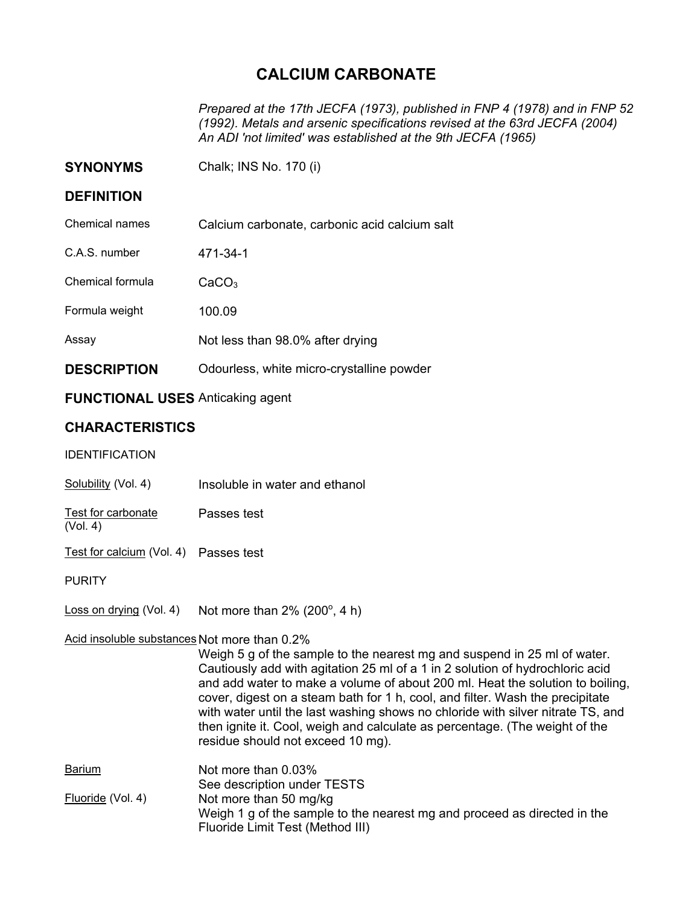## **CALCIUM CARBONATE**

*Prepared at the 17th JECFA (1973), published in FNP 4 (1978) and in FNP 52 (1992). Metals and arsenic specifications revised at the 63rd JECFA (2004) An ADI 'not limited' was established at the 9th JECFA (1965)* 

| <b>SYNONYMS</b>    | Chalk; INS No. 170 (i)                        |
|--------------------|-----------------------------------------------|
| <b>DEFINITION</b>  |                                               |
| Chemical names     | Calcium carbonate, carbonic acid calcium salt |
| C.A.S. number      | 471-34-1                                      |
| Chemical formula   | CaCO <sub>3</sub>                             |
| Formula weight     | 100.09                                        |
| Assay              | Not less than 98.0% after drying              |
| <b>DESCRIPTION</b> | Odourless, white micro-crystalline powder     |

## **FUNCTIONAL USES** Anticaking agent

## **CHARACTERISTICS**

IDENTIFICATION

Solubility (Vol. 4) Insoluble in water and ethanol

Test for carbonate (Vol. 4) Passes test

Test for calcium (Vol. 4) Passes test

**PURITY** 

Loss on drying (Vol. 4) Not more than  $2\%$  (200 $^{\circ}$ , 4 h)

## Acid insoluble substances Not more than 0.2%

Weigh 5 g of the sample to the nearest mg and suspend in 25 ml of water. Cautiously add with agitation 25 ml of a 1 in 2 solution of hydrochloric acid and add water to make a volume of about 200 ml. Heat the solution to boiling, cover, digest on a steam bath for 1 h, cool, and filter. Wash the precipitate with water until the last washing shows no chloride with silver nitrate TS, and then ignite it. Cool, weigh and calculate as percentage. (The weight of the residue should not exceed 10 mg).

| <b>Barium</b>     | Not more than 0.03%                                                      |
|-------------------|--------------------------------------------------------------------------|
|                   | See description under TESTS                                              |
| Fluoride (Vol. 4) | Not more than 50 mg/kg                                                   |
|                   | Weigh 1 g of the sample to the nearest mg and proceed as directed in the |
|                   | Fluoride Limit Test (Method III)                                         |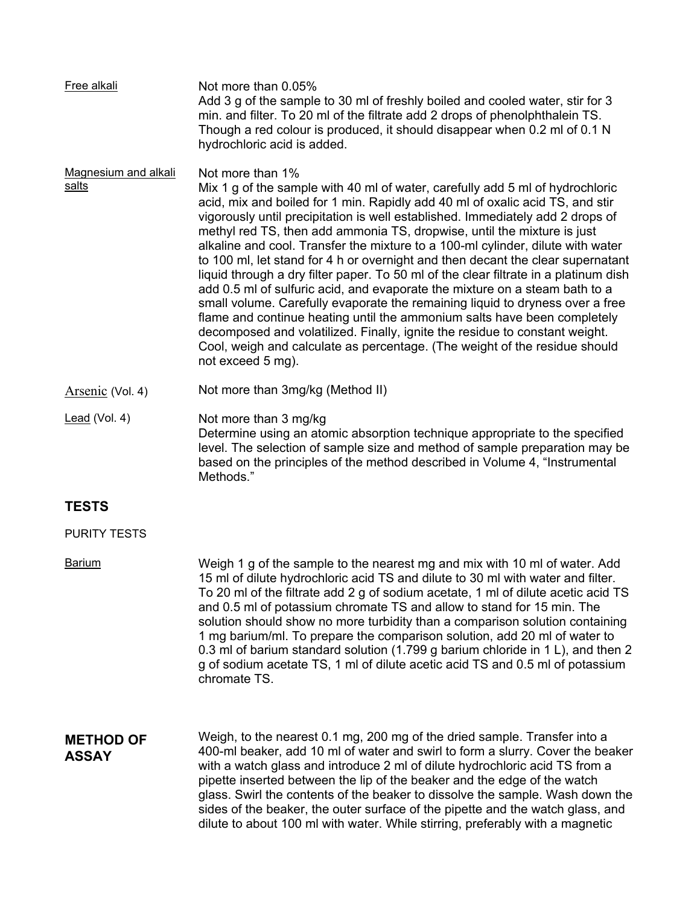| Free alkali                      | Not more than 0.05%<br>Add 3 g of the sample to 30 ml of freshly boiled and cooled water, stir for 3<br>min. and filter. To 20 ml of the filtrate add 2 drops of phenolphthalein TS.<br>Though a red colour is produced, it should disappear when 0.2 ml of 0.1 N<br>hydrochloric acid is added.                                                                                                                                                                                                                                                                                                                                                                                                                                                                                                                                                                                                                                                                                                                                            |
|----------------------------------|---------------------------------------------------------------------------------------------------------------------------------------------------------------------------------------------------------------------------------------------------------------------------------------------------------------------------------------------------------------------------------------------------------------------------------------------------------------------------------------------------------------------------------------------------------------------------------------------------------------------------------------------------------------------------------------------------------------------------------------------------------------------------------------------------------------------------------------------------------------------------------------------------------------------------------------------------------------------------------------------------------------------------------------------|
| Magnesium and alkali<br>salts    | Not more than 1%<br>Mix 1 g of the sample with 40 ml of water, carefully add 5 ml of hydrochloric<br>acid, mix and boiled for 1 min. Rapidly add 40 ml of oxalic acid TS, and stir<br>vigorously until precipitation is well established. Immediately add 2 drops of<br>methyl red TS, then add ammonia TS, dropwise, until the mixture is just<br>alkaline and cool. Transfer the mixture to a 100-ml cylinder, dilute with water<br>to 100 ml, let stand for 4 h or overnight and then decant the clear supernatant<br>liquid through a dry filter paper. To 50 ml of the clear filtrate in a platinum dish<br>add 0.5 ml of sulfuric acid, and evaporate the mixture on a steam bath to a<br>small volume. Carefully evaporate the remaining liquid to dryness over a free<br>flame and continue heating until the ammonium salts have been completely<br>decomposed and volatilized. Finally, ignite the residue to constant weight.<br>Cool, weigh and calculate as percentage. (The weight of the residue should<br>not exceed 5 mg). |
| Arsenic (Vol. 4)                 | Not more than 3mg/kg (Method II)                                                                                                                                                                                                                                                                                                                                                                                                                                                                                                                                                                                                                                                                                                                                                                                                                                                                                                                                                                                                            |
| Lead (Vol. 4)                    | Not more than 3 mg/kg<br>Determine using an atomic absorption technique appropriate to the specified<br>level. The selection of sample size and method of sample preparation may be<br>based on the principles of the method described in Volume 4, "Instrumental<br>Methods."                                                                                                                                                                                                                                                                                                                                                                                                                                                                                                                                                                                                                                                                                                                                                              |
| <b>TESTS</b>                     |                                                                                                                                                                                                                                                                                                                                                                                                                                                                                                                                                                                                                                                                                                                                                                                                                                                                                                                                                                                                                                             |
| <b>PURITY TESTS</b>              |                                                                                                                                                                                                                                                                                                                                                                                                                                                                                                                                                                                                                                                                                                                                                                                                                                                                                                                                                                                                                                             |
| <b>Barium</b>                    | Weigh 1 g of the sample to the nearest mg and mix with 10 ml of water. Add<br>15 ml of dilute hydrochloric acid TS and dilute to 30 ml with water and filter.<br>To 20 ml of the filtrate add 2 g of sodium acetate, 1 ml of dilute acetic acid TS<br>and 0.5 ml of potassium chromate TS and allow to stand for 15 min. The<br>solution should show no more turbidity than a comparison solution containing<br>1 mg barium/ml. To prepare the comparison solution, add 20 ml of water to<br>0.3 ml of barium standard solution (1.799 g barium chloride in 1 L), and then 2<br>g of sodium acetate TS, 1 ml of dilute acetic acid TS and 0.5 ml of potassium<br>chromate TS.                                                                                                                                                                                                                                                                                                                                                               |
| <b>METHOD OF</b><br><b>ASSAY</b> | Weigh, to the nearest 0.1 mg, 200 mg of the dried sample. Transfer into a<br>400-ml beaker, add 10 ml of water and swirl to form a slurry. Cover the beaker<br>with a watch glass and introduce 2 ml of dilute hydrochloric acid TS from a<br>pipette inserted between the lip of the beaker and the edge of the watch<br>glass. Swirl the contents of the beaker to dissolve the sample. Wash down the<br>sides of the beaker, the outer surface of the pipette and the watch glass, and<br>dilute to about 100 ml with water. While stirring, preferably with a magnetic                                                                                                                                                                                                                                                                                                                                                                                                                                                                  |